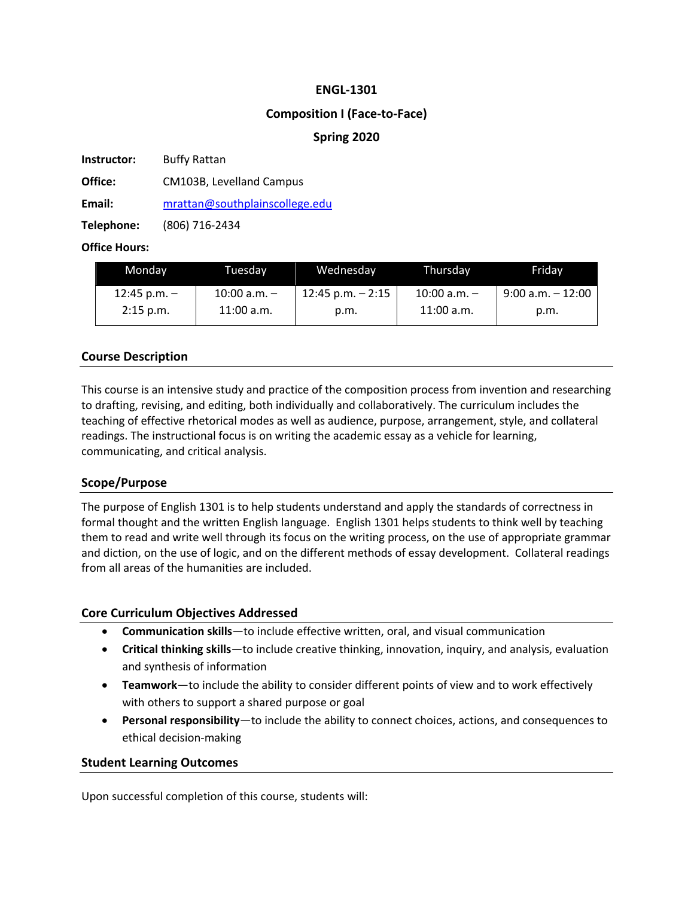### **ENGL-1301**

### **Composition I (Face-to-Face)**

### **Spring 2020**

**Instructor:** Buffy Rattan

**Office:** CM103B, Levelland Campus

**Email:** mrattan@southplainscollege.edu

**Telephone:** (806) 716-2434

#### **Office Hours:**

| Monday           | Tuesdav          | Wednesdav            | Thursdav         | Fridav               |
|------------------|------------------|----------------------|------------------|----------------------|
| $12:45$ p.m. $-$ | $10:00$ a.m. $-$ | $12:45$ p.m. $-2:15$ | $10:00$ a.m. $-$ | $9:00$ a.m. $-12:00$ |
| $2:15$ p.m.      | $11:00$ a.m.     | p.m.                 | $11:00$ a.m.     | p.m.                 |

# **Course Description**

This course is an intensive study and practice of the composition process from invention and researching to drafting, revising, and editing, both individually and collaboratively. The curriculum includes the teaching of effective rhetorical modes as well as audience, purpose, arrangement, style, and collateral readings. The instructional focus is on writing the academic essay as a vehicle for learning, communicating, and critical analysis.

#### **Scope/Purpose**

The purpose of English 1301 is to help students understand and apply the standards of correctness in formal thought and the written English language. English 1301 helps students to think well by teaching them to read and write well through its focus on the writing process, on the use of appropriate grammar and diction, on the use of logic, and on the different methods of essay development. Collateral readings from all areas of the humanities are included.

#### **Core Curriculum Objectives Addressed**

- **Communication skills**—to include effective written, oral, and visual communication
- **Critical thinking skills**—to include creative thinking, innovation, inquiry, and analysis, evaluation and synthesis of information
- **Teamwork**—to include the ability to consider different points of view and to work effectively with others to support a shared purpose or goal
- **Personal responsibility**—to include the ability to connect choices, actions, and consequences to ethical decision-making

#### **Student Learning Outcomes**

Upon successful completion of this course, students will: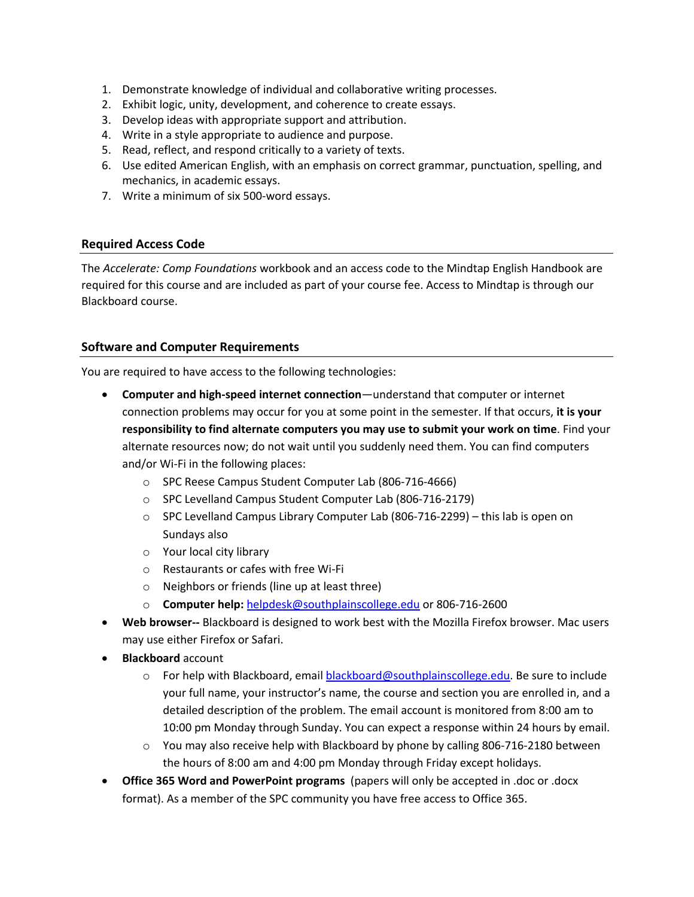- 1. Demonstrate knowledge of individual and collaborative writing processes.
- 2. Exhibit logic, unity, development, and coherence to create essays.
- 3. Develop ideas with appropriate support and attribution.
- 4. Write in a style appropriate to audience and purpose.
- 5. Read, reflect, and respond critically to a variety of texts.
- 6. Use edited American English, with an emphasis on correct grammar, punctuation, spelling, and mechanics, in academic essays.
- 7. Write a minimum of six 500-word essays.

### **Required Access Code**

The *Accelerate: Comp Foundations* workbook and an access code to the Mindtap English Handbook are required for this course and are included as part of your course fee. Access to Mindtap is through our Blackboard course.

### **Software and Computer Requirements**

You are required to have access to the following technologies:

- **Computer and high-speed internet connection**—understand that computer or internet connection problems may occur for you at some point in the semester. If that occurs, **it is your responsibility to find alternate computers you may use to submit your work on time**. Find your alternate resources now; do not wait until you suddenly need them. You can find computers and/or Wi-Fi in the following places:
	- o SPC Reese Campus Student Computer Lab (806-716-4666)
	- o SPC Levelland Campus Student Computer Lab (806-716-2179)
	- $\circ$  SPC Levelland Campus Library Computer Lab (806-716-2299) this lab is open on Sundays also
	- o Your local city library
	- o Restaurants or cafes with free Wi-Fi
	- o Neighbors or friends (line up at least three)
	- o **Computer help:** helpdesk@southplainscollege.edu or 806-716-2600
- **Web browser--** Blackboard is designed to work best with the Mozilla Firefox browser. Mac users may use either Firefox or Safari.
- **Blackboard** account
	- $\circ$  For help with Blackboard, email blackboard@southplainscollege.edu. Be sure to include your full name, your instructor's name, the course and section you are enrolled in, and a detailed description of the problem. The email account is monitored from 8:00 am to 10:00 pm Monday through Sunday. You can expect a response within 24 hours by email.
	- $\circ$  You may also receive help with Blackboard by phone by calling 806-716-2180 between the hours of 8:00 am and 4:00 pm Monday through Friday except holidays.
- **Office 365 Word and PowerPoint programs** (papers will only be accepted in .doc or .docx format). As a member of the SPC community you have free access to Office 365.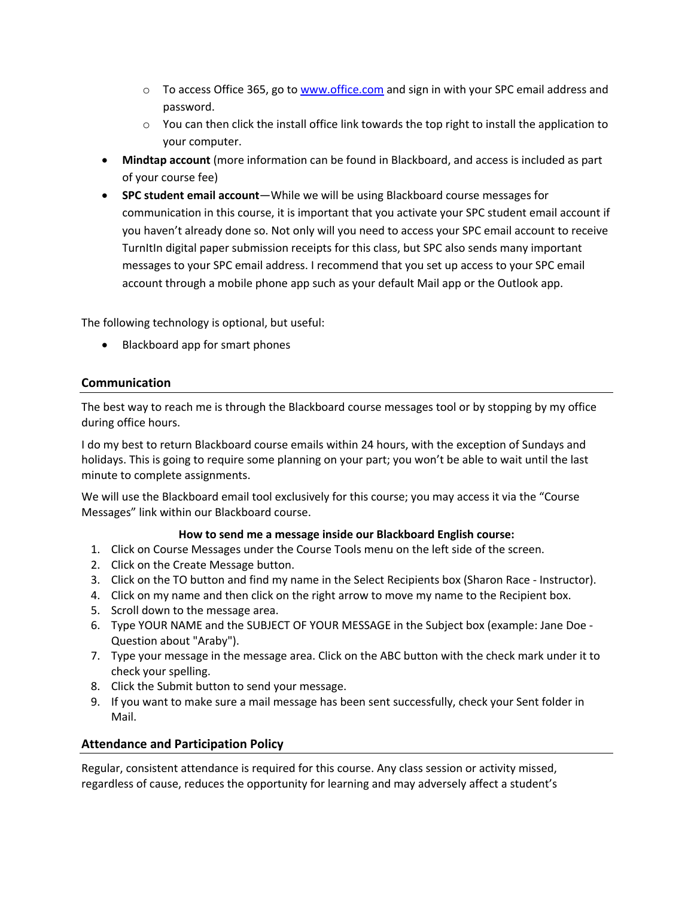- $\circ$  To access Office 365, go to www.office.com and sign in with your SPC email address and password.
- $\circ$  You can then click the install office link towards the top right to install the application to your computer.
- **Mindtap account** (more information can be found in Blackboard, and access is included as part of your course fee)
- **SPC student email account**—While we will be using Blackboard course messages for communication in this course, it is important that you activate your SPC student email account if you haven't already done so. Not only will you need to access your SPC email account to receive TurnItIn digital paper submission receipts for this class, but SPC also sends many important messages to your SPC email address. I recommend that you set up access to your SPC email account through a mobile phone app such as your default Mail app or the Outlook app.

The following technology is optional, but useful:

• Blackboard app for smart phones

# **Communication**

The best way to reach me is through the Blackboard course messages tool or by stopping by my office during office hours.

I do my best to return Blackboard course emails within 24 hours, with the exception of Sundays and holidays. This is going to require some planning on your part; you won't be able to wait until the last minute to complete assignments.

We will use the Blackboard email tool exclusively for this course; you may access it via the "Course Messages" link within our Blackboard course.

# **How to send me a message inside our Blackboard English course:**

- 1. Click on Course Messages under the Course Tools menu on the left side of the screen.
- 2. Click on the Create Message button.
- 3. Click on the TO button and find my name in the Select Recipients box (Sharon Race Instructor).
- 4. Click on my name and then click on the right arrow to move my name to the Recipient box.
- 5. Scroll down to the message area.
- 6. Type YOUR NAME and the SUBJECT OF YOUR MESSAGE in the Subject box (example: Jane Doe Question about "Araby").
- 7. Type your message in the message area. Click on the ABC button with the check mark under it to check your spelling.
- 8. Click the Submit button to send your message.
- 9. If you want to make sure a mail message has been sent successfully, check your Sent folder in Mail.

# **Attendance and Participation Policy**

Regular, consistent attendance is required for this course. Any class session or activity missed, regardless of cause, reduces the opportunity for learning and may adversely affect a student's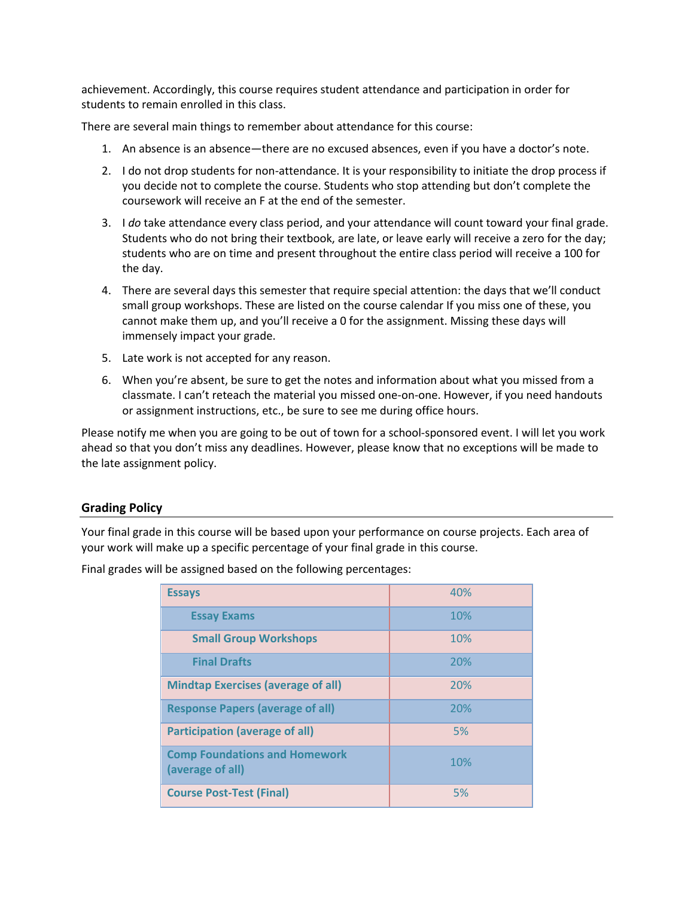achievement. Accordingly, this course requires student attendance and participation in order for students to remain enrolled in this class.

There are several main things to remember about attendance for this course:

- 1. An absence is an absence—there are no excused absences, even if you have a doctor's note.
- 2. I do not drop students for non-attendance. It is your responsibility to initiate the drop process if you decide not to complete the course. Students who stop attending but don't complete the coursework will receive an F at the end of the semester.
- 3. I *do* take attendance every class period, and your attendance will count toward your final grade. Students who do not bring their textbook, are late, or leave early will receive a zero for the day; students who are on time and present throughout the entire class period will receive a 100 for the day.
- 4. There are several days this semester that require special attention: the days that we'll conduct small group workshops. These are listed on the course calendar If you miss one of these, you cannot make them up, and you'll receive a 0 for the assignment. Missing these days will immensely impact your grade.
- 5. Late work is not accepted for any reason.
- 6. When you're absent, be sure to get the notes and information about what you missed from a classmate. I can't reteach the material you missed one-on-one. However, if you need handouts or assignment instructions, etc., be sure to see me during office hours.

Please notify me when you are going to be out of town for a school-sponsored event. I will let you work ahead so that you don't miss any deadlines. However, please know that no exceptions will be made to the late assignment policy.

# **Grading Policy**

Your final grade in this course will be based upon your performance on course projects. Each area of your work will make up a specific percentage of your final grade in this course.

Final grades will be assigned based on the following percentages:

| <b>Essays</b>                                            | 40% |
|----------------------------------------------------------|-----|
| <b>Essay Exams</b>                                       | 10% |
| <b>Small Group Workshops</b>                             | 10% |
| <b>Final Drafts</b>                                      | 20% |
| <b>Mindtap Exercises (average of all)</b>                | 20% |
| <b>Response Papers (average of all)</b>                  | 20% |
| <b>Participation (average of all)</b>                    | 5%  |
| <b>Comp Foundations and Homework</b><br>(average of all) | 10% |
| <b>Course Post-Test (Final)</b>                          | 5%  |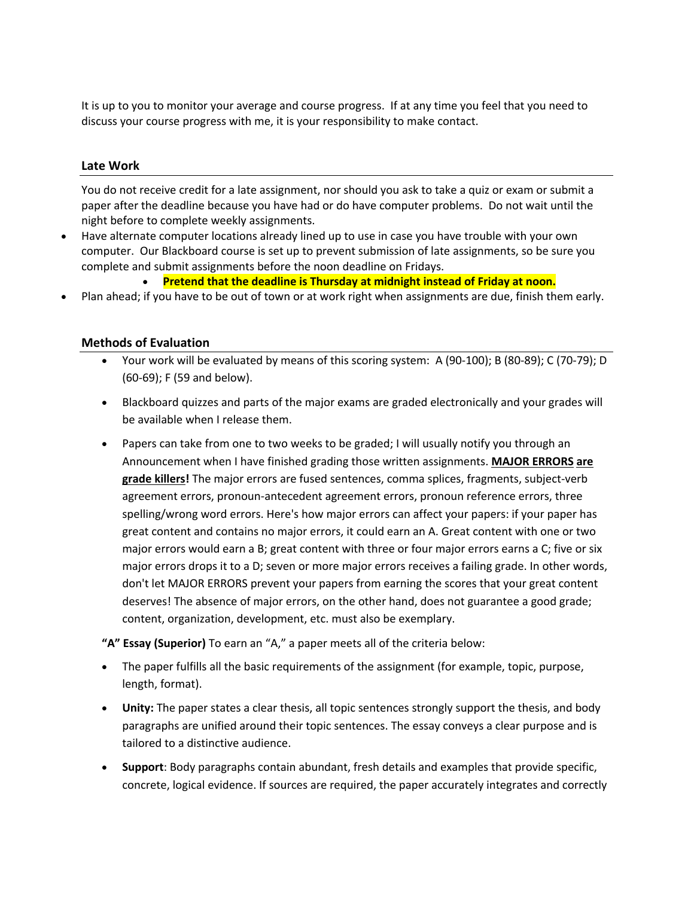It is up to you to monitor your average and course progress. If at any time you feel that you need to discuss your course progress with me, it is your responsibility to make contact.

### **Late Work**

You do not receive credit for a late assignment, nor should you ask to take a quiz or exam or submit a paper after the deadline because you have had or do have computer problems. Do not wait until the night before to complete weekly assignments.

• Have alternate computer locations already lined up to use in case you have trouble with your own computer. Our Blackboard course is set up to prevent submission of late assignments, so be sure you complete and submit assignments before the noon deadline on Fridays.

• **Pretend that the deadline is Thursday at midnight instead of Friday at noon.**

• Plan ahead; if you have to be out of town or at work right when assignments are due, finish them early.

### **Methods of Evaluation**

- Your work will be evaluated by means of this scoring system: A (90-100); B (80-89); C (70-79); D (60-69); F (59 and below).
- Blackboard quizzes and parts of the major exams are graded electronically and your grades will be available when I release them.
- Papers can take from one to two weeks to be graded; I will usually notify you through an Announcement when I have finished grading those written assignments. **MAJOR ERRORS are grade killers!** The major errors are fused sentences, comma splices, fragments, subject-verb agreement errors, pronoun-antecedent agreement errors, pronoun reference errors, three spelling/wrong word errors. Here's how major errors can affect your papers: if your paper has great content and contains no major errors, it could earn an A. Great content with one or two major errors would earn a B; great content with three or four major errors earns a C; five or six major errors drops it to a D; seven or more major errors receives a failing grade. In other words, don't let MAJOR ERRORS prevent your papers from earning the scores that your great content deserves! The absence of major errors, on the other hand, does not guarantee a good grade; content, organization, development, etc. must also be exemplary.

**"A" Essay (Superior)** To earn an "A," a paper meets all of the criteria below:

- The paper fulfills all the basic requirements of the assignment (for example, topic, purpose, length, format).
- **Unity:** The paper states a clear thesis, all topic sentences strongly support the thesis, and body paragraphs are unified around their topic sentences. The essay conveys a clear purpose and is tailored to a distinctive audience.
- **Support**: Body paragraphs contain abundant, fresh details and examples that provide specific, concrete, logical evidence. If sources are required, the paper accurately integrates and correctly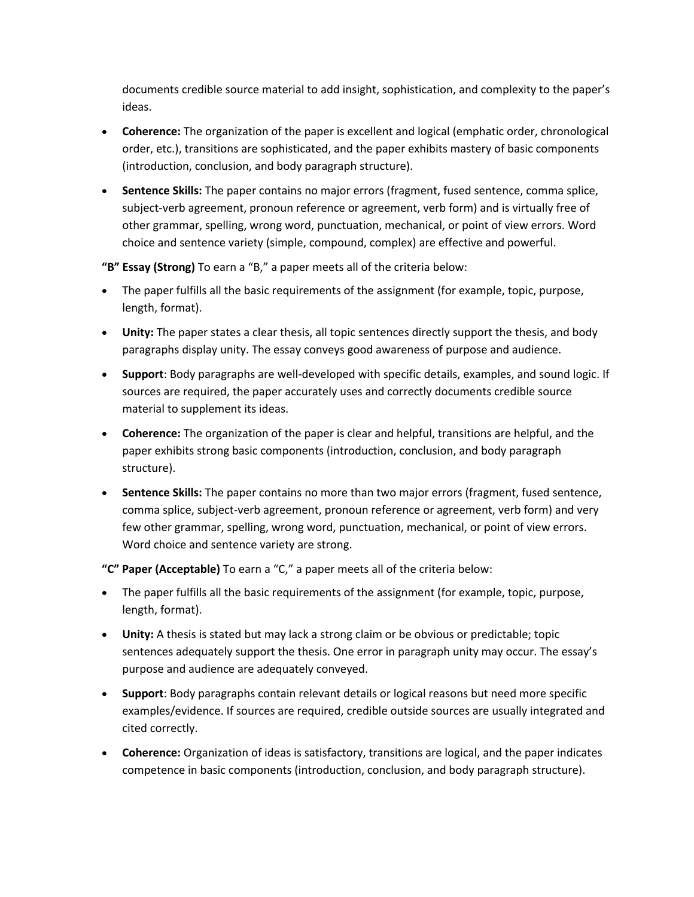documents credible source material to add insight, sophistication, and complexity to the paper's ideas.

- **Coherence:** The organization of the paper is excellent and logical (emphatic order, chronological order, etc.), transitions are sophisticated, and the paper exhibits mastery of basic components (introduction, conclusion, and body paragraph structure).
- **Sentence Skills:** The paper contains no major errors (fragment, fused sentence, comma splice, subject-verb agreement, pronoun reference or agreement, verb form) and is virtually free of other grammar, spelling, wrong word, punctuation, mechanical, or point of view errors. Word choice and sentence variety (simple, compound, complex) are effective and powerful.

**"B" Essay (Strong)** To earn a "B," a paper meets all of the criteria below:

- The paper fulfills all the basic requirements of the assignment (for example, topic, purpose, length, format).
- **Unity:** The paper states a clear thesis, all topic sentences directly support the thesis, and body paragraphs display unity. The essay conveys good awareness of purpose and audience.
- **Support**: Body paragraphs are well-developed with specific details, examples, and sound logic. If sources are required, the paper accurately uses and correctly documents credible source material to supplement its ideas.
- **Coherence:** The organization of the paper is clear and helpful, transitions are helpful, and the paper exhibits strong basic components (introduction, conclusion, and body paragraph structure).
- **Sentence Skills:** The paper contains no more than two major errors (fragment, fused sentence, comma splice, subject-verb agreement, pronoun reference or agreement, verb form) and very few other grammar, spelling, wrong word, punctuation, mechanical, or point of view errors. Word choice and sentence variety are strong.

**"C" Paper (Acceptable)** To earn a "C," a paper meets all of the criteria below:

- The paper fulfills all the basic requirements of the assignment (for example, topic, purpose, length, format).
- **Unity:** A thesis is stated but may lack a strong claim or be obvious or predictable; topic sentences adequately support the thesis. One error in paragraph unity may occur. The essay's purpose and audience are adequately conveyed.
- **Support**: Body paragraphs contain relevant details or logical reasons but need more specific examples/evidence. If sources are required, credible outside sources are usually integrated and cited correctly.
- **Coherence:** Organization of ideas is satisfactory, transitions are logical, and the paper indicates competence in basic components (introduction, conclusion, and body paragraph structure).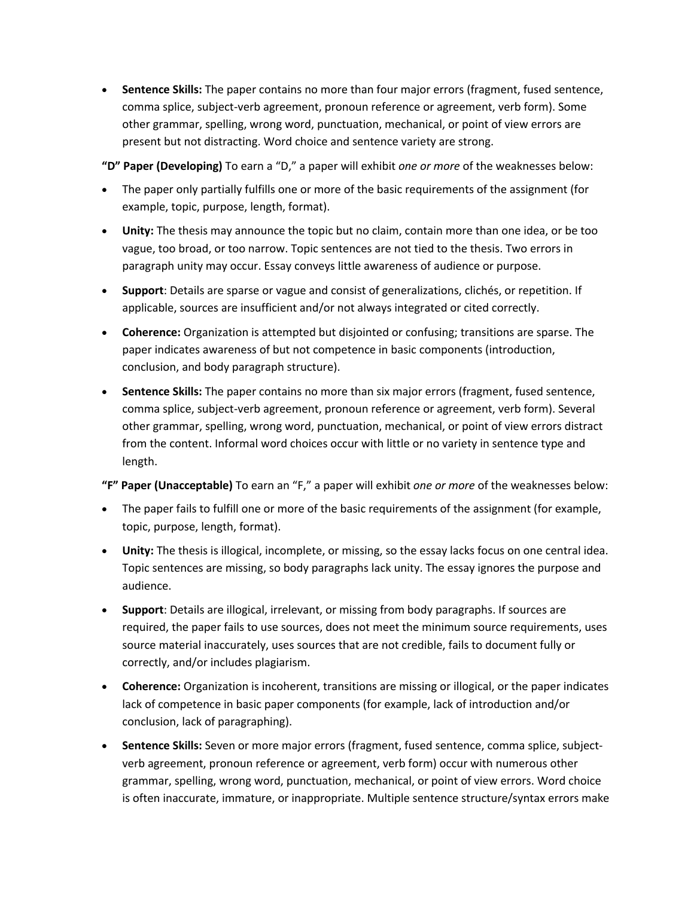• **Sentence Skills:** The paper contains no more than four major errors (fragment, fused sentence, comma splice, subject-verb agreement, pronoun reference or agreement, verb form). Some other grammar, spelling, wrong word, punctuation, mechanical, or point of view errors are present but not distracting. Word choice and sentence variety are strong.

**"D" Paper (Developing)** To earn a "D," a paper will exhibit *one or more* of the weaknesses below:

- The paper only partially fulfills one or more of the basic requirements of the assignment (for example, topic, purpose, length, format).
- **Unity:** The thesis may announce the topic but no claim, contain more than one idea, or be too vague, too broad, or too narrow. Topic sentences are not tied to the thesis. Two errors in paragraph unity may occur. Essay conveys little awareness of audience or purpose.
- **Support**: Details are sparse or vague and consist of generalizations, clichés, or repetition. If applicable, sources are insufficient and/or not always integrated or cited correctly.
- **Coherence:** Organization is attempted but disjointed or confusing; transitions are sparse. The paper indicates awareness of but not competence in basic components (introduction, conclusion, and body paragraph structure).
- **Sentence Skills:** The paper contains no more than six major errors (fragment, fused sentence, comma splice, subject-verb agreement, pronoun reference or agreement, verb form). Several other grammar, spelling, wrong word, punctuation, mechanical, or point of view errors distract from the content. Informal word choices occur with little or no variety in sentence type and length.

**"F" Paper (Unacceptable)** To earn an "F," a paper will exhibit *one or more* of the weaknesses below:

- The paper fails to fulfill one or more of the basic requirements of the assignment (for example, topic, purpose, length, format).
- **Unity:** The thesis is illogical, incomplete, or missing, so the essay lacks focus on one central idea. Topic sentences are missing, so body paragraphs lack unity. The essay ignores the purpose and audience.
- **Support**: Details are illogical, irrelevant, or missing from body paragraphs. If sources are required, the paper fails to use sources, does not meet the minimum source requirements, uses source material inaccurately, uses sources that are not credible, fails to document fully or correctly, and/or includes plagiarism.
- **Coherence:** Organization is incoherent, transitions are missing or illogical, or the paper indicates lack of competence in basic paper components (for example, lack of introduction and/or conclusion, lack of paragraphing).
- **Sentence Skills:** Seven or more major errors (fragment, fused sentence, comma splice, subjectverb agreement, pronoun reference or agreement, verb form) occur with numerous other grammar, spelling, wrong word, punctuation, mechanical, or point of view errors. Word choice is often inaccurate, immature, or inappropriate. Multiple sentence structure/syntax errors make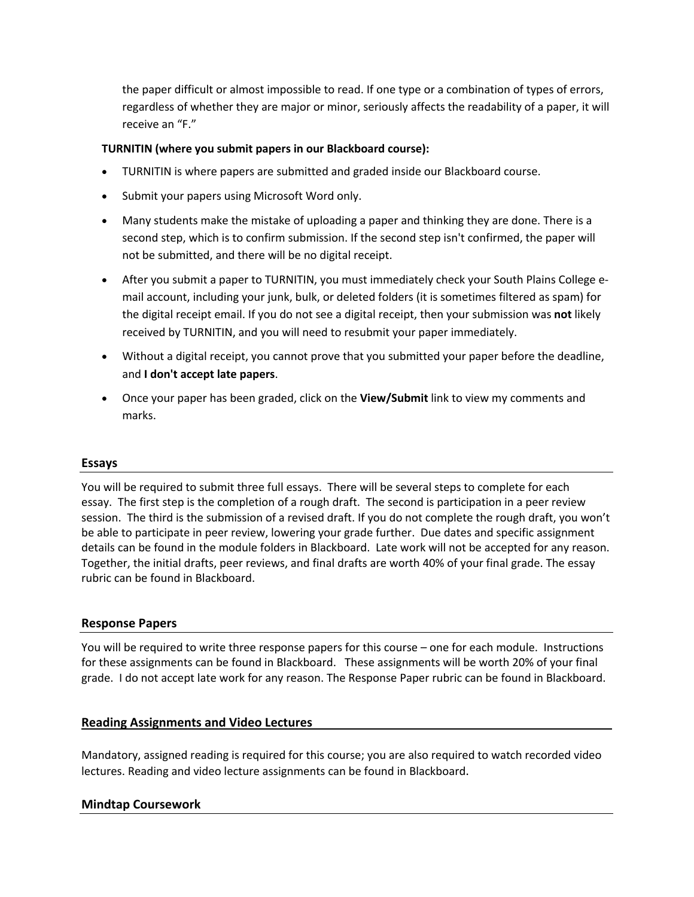the paper difficult or almost impossible to read. If one type or a combination of types of errors, regardless of whether they are major or minor, seriously affects the readability of a paper, it will receive an "F."

# **TURNITIN (where you submit papers in our Blackboard course):**

- TURNITIN is where papers are submitted and graded inside our Blackboard course.
- Submit your papers using Microsoft Word only.
- Many students make the mistake of uploading a paper and thinking they are done. There is a second step, which is to confirm submission. If the second step isn't confirmed, the paper will not be submitted, and there will be no digital receipt.
- After you submit a paper to TURNITIN, you must immediately check your South Plains College email account, including your junk, bulk, or deleted folders (it is sometimes filtered as spam) for the digital receipt email. If you do not see a digital receipt, then your submission was **not** likely received by TURNITIN, and you will need to resubmit your paper immediately.
- Without a digital receipt, you cannot prove that you submitted your paper before the deadline, and **I don't accept late papers**.
- Once your paper has been graded, click on the **View/Submit** link to view my comments and marks.

#### **Essays**

You will be required to submit three full essays. There will be several steps to complete for each essay. The first step is the completion of a rough draft. The second is participation in a peer review session. The third is the submission of a revised draft. If you do not complete the rough draft, you won't be able to participate in peer review, lowering your grade further. Due dates and specific assignment details can be found in the module folders in Blackboard. Late work will not be accepted for any reason. Together, the initial drafts, peer reviews, and final drafts are worth 40% of your final grade. The essay rubric can be found in Blackboard.

#### **Response Papers**

You will be required to write three response papers for this course – one for each module. Instructions for these assignments can be found in Blackboard. These assignments will be worth 20% of your final grade. I do not accept late work for any reason. The Response Paper rubric can be found in Blackboard.

# **Reading Assignments and Video Lectures**

Mandatory, assigned reading is required for this course; you are also required to watch recorded video lectures. Reading and video lecture assignments can be found in Blackboard.

# **Mindtap Coursework**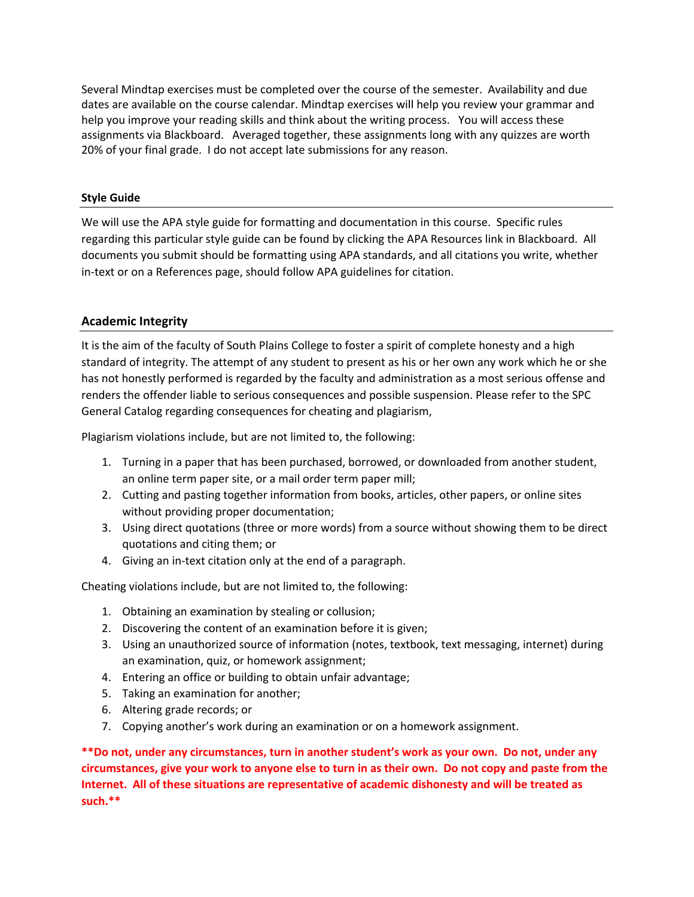Several Mindtap exercises must be completed over the course of the semester. Availability and due dates are available on the course calendar. Mindtap exercises will help you review your grammar and help you improve your reading skills and think about the writing process. You will access these assignments via Blackboard. Averaged together, these assignments long with any quizzes are worth 20% of your final grade. I do not accept late submissions for any reason.

#### **Style Guide**

We will use the APA style guide for formatting and documentation in this course. Specific rules regarding this particular style guide can be found by clicking the APA Resources link in Blackboard. All documents you submit should be formatting using APA standards, and all citations you write, whether in-text or on a References page, should follow APA guidelines for citation.

#### **Academic Integrity**

It is the aim of the faculty of South Plains College to foster a spirit of complete honesty and a high standard of integrity. The attempt of any student to present as his or her own any work which he or she has not honestly performed is regarded by the faculty and administration as a most serious offense and renders the offender liable to serious consequences and possible suspension. Please refer to the SPC General Catalog regarding consequences for cheating and plagiarism,

Plagiarism violations include, but are not limited to, the following:

- 1. Turning in a paper that has been purchased, borrowed, or downloaded from another student, an online term paper site, or a mail order term paper mill;
- 2. Cutting and pasting together information from books, articles, other papers, or online sites without providing proper documentation;
- 3. Using direct quotations (three or more words) from a source without showing them to be direct quotations and citing them; or
- 4. Giving an in-text citation only at the end of a paragraph.

Cheating violations include, but are not limited to, the following:

- 1. Obtaining an examination by stealing or collusion;
- 2. Discovering the content of an examination before it is given;
- 3. Using an unauthorized source of information (notes, textbook, text messaging, internet) during an examination, quiz, or homework assignment;
- 4. Entering an office or building to obtain unfair advantage;
- 5. Taking an examination for another;
- 6. Altering grade records; or
- 7. Copying another's work during an examination or on a homework assignment.

**\*\*Do not, under any circumstances, turn in another student's work as your own. Do not, under any circumstances, give your work to anyone else to turn in as their own. Do not copy and paste from the Internet. All of these situations are representative of academic dishonesty and will be treated as such.\*\***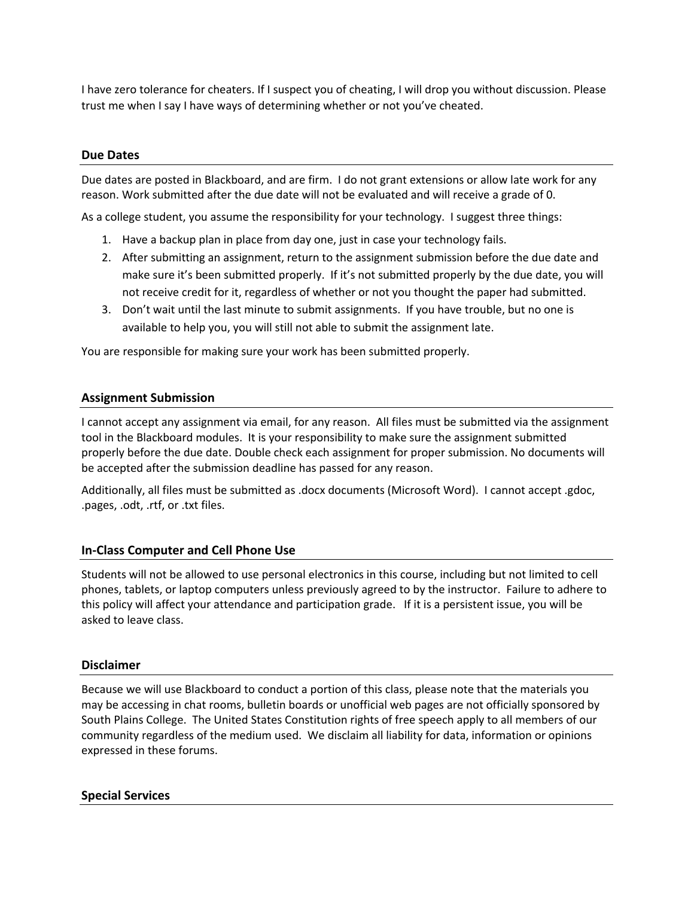I have zero tolerance for cheaters. If I suspect you of cheating, I will drop you without discussion. Please trust me when I say I have ways of determining whether or not you've cheated.

### **Due Dates**

Due dates are posted in Blackboard, and are firm. I do not grant extensions or allow late work for any reason. Work submitted after the due date will not be evaluated and will receive a grade of 0.

As a college student, you assume the responsibility for your technology. I suggest three things:

- 1. Have a backup plan in place from day one, just in case your technology fails.
- 2. After submitting an assignment, return to the assignment submission before the due date and make sure it's been submitted properly. If it's not submitted properly by the due date, you will not receive credit for it, regardless of whether or not you thought the paper had submitted.
- 3. Don't wait until the last minute to submit assignments. If you have trouble, but no one is available to help you, you will still not able to submit the assignment late.

You are responsible for making sure your work has been submitted properly.

### **Assignment Submission**

I cannot accept any assignment via email, for any reason. All files must be submitted via the assignment tool in the Blackboard modules. It is your responsibility to make sure the assignment submitted properly before the due date. Double check each assignment for proper submission. No documents will be accepted after the submission deadline has passed for any reason.

Additionally, all files must be submitted as .docx documents (Microsoft Word). I cannot accept .gdoc, .pages, .odt, .rtf, or .txt files.

# **In-Class Computer and Cell Phone Use**

Students will not be allowed to use personal electronics in this course, including but not limited to cell phones, tablets, or laptop computers unless previously agreed to by the instructor. Failure to adhere to this policy will affect your attendance and participation grade. If it is a persistent issue, you will be asked to leave class.

#### **Disclaimer**

Because we will use Blackboard to conduct a portion of this class, please note that the materials you may be accessing in chat rooms, bulletin boards or unofficial web pages are not officially sponsored by South Plains College. The United States Constitution rights of free speech apply to all members of our community regardless of the medium used. We disclaim all liability for data, information or opinions expressed in these forums.

#### **Special Services**